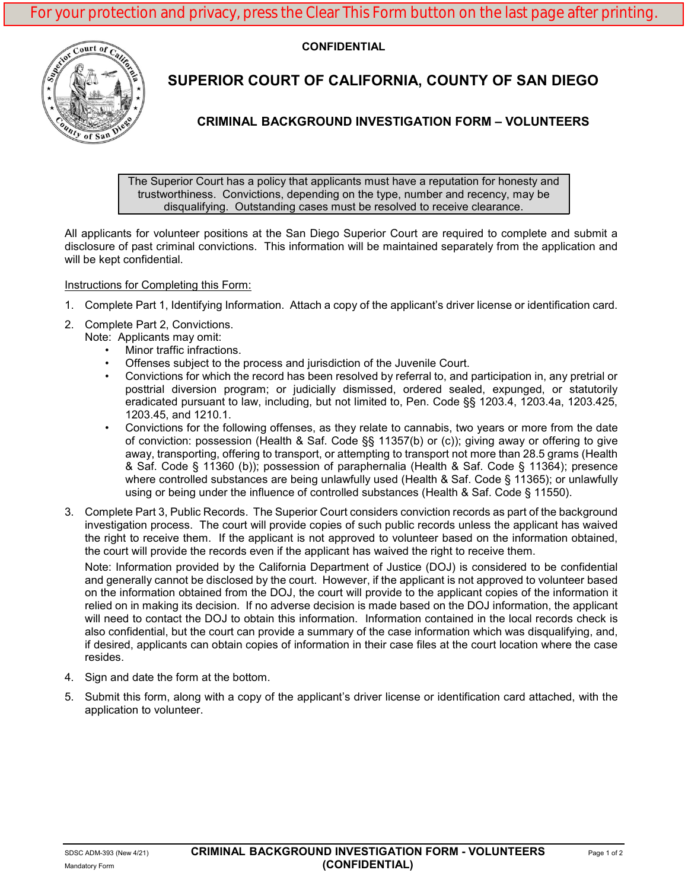**CONFIDENTIAL**



# **SUPERIOR COURT OF CALIFORNIA, COUNTY OF SAN DIEGO**

# **CRIMINAL BACKGROUND INVESTIGATION FORM – VOLUNTEERS**

The Superior Court has a policy that applicants must have a reputation for honesty and trustworthiness. Convictions, depending on the type, number and recency, may be disqualifying. Outstanding cases must be resolved to receive clearance.

All applicants for volunteer positions at the San Diego Superior Court are required to complete and submit a disclosure of past criminal convictions. This information will be maintained separately from the application and will be kept confidential.

## Instructions for Completing this Form:

- 1. Complete Part 1, Identifying Information. Attach a copy of the applicant's driver license or identification card.
- 2. Complete Part 2, Convictions. Note: Applicants may omit:
	- Minor traffic infractions.
	- Offenses subject to the process and jurisdiction of the Juvenile Court.
	- Convictions for which the record has been resolved by referral to, and participation in, any pretrial or posttrial diversion program; or judicially dismissed, ordered sealed, expunged, or statutorily eradicated pursuant to law, including, but not limited to, Pen. Code §§ 1203.4, 1203.4a, 1203.425, 1203.45, and 1210.1.
	- Convictions for the following offenses, as they relate to cannabis, two years or more from the date of conviction: possession (Health & Saf. Code §§ 11357(b) or (c)); giving away or offering to give away, transporting, offering to transport, or attempting to transport not more than 28.5 grams (Health & Saf. Code § 11360 (b)); possession of paraphernalia (Health & Saf. Code § 11364); presence where controlled substances are being unlawfully used (Health & Saf. Code § 11365); or unlawfully using or being under the influence of controlled substances (Health & Saf. Code § 11550).
- 3. Complete Part 3, Public Records. The Superior Court considers conviction records as part of the background investigation process. The court will provide copies of such public records unless the applicant has waived the right to receive them. If the applicant is not approved to volunteer based on the information obtained, the court will provide the records even if the applicant has waived the right to receive them.

Note: Information provided by the California Department of Justice (DOJ) is considered to be confidential and generally cannot be disclosed by the court. However, if the applicant is not approved to volunteer based on the information obtained from the DOJ, the court will provide to the applicant copies of the information it relied on in making its decision. If no adverse decision is made based on the DOJ information, the applicant will need to contact the DOJ to obtain this information. Information contained in the local records check is also confidential, but the court can provide a summary of the case information which was disqualifying, and, if desired, applicants can obtain copies of information in their case files at the court location where the case resides.

- 4. Sign and date the form at the bottom.
- 5. Submit this form, along with a copy of the applicant's driver license or identification card attached, with the application to volunteer.